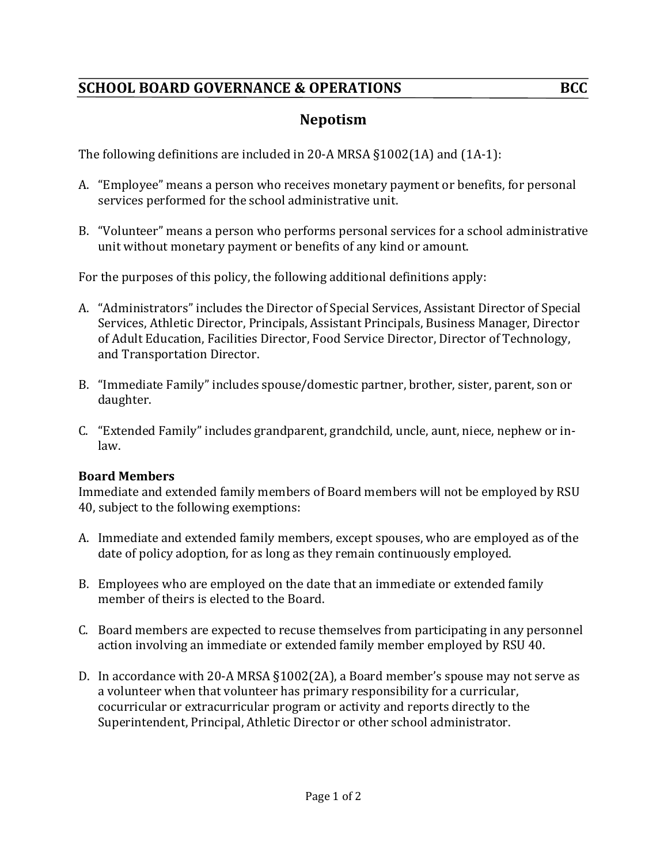# **SCHOOL BOARD GOVERNANCE & OPERATIONS BCC**

The following definitions are included in 20-A MRSA  $\S 1002(1A)$  and  $(1A-1)$ :

- A. "Employee" means a person who receives monetary payment or benefits, for personal services performed for the school administrative unit.
- B. "Volunteer" means a person who performs personal services for a school administrative unit without monetary payment or benefits of any kind or amount.

For the purposes of this policy, the following additional definitions apply:

- A. "Administrators" includes the Director of Special Services, Assistant Director of Special Services, Athletic Director, Principals, Assistant Principals, Business Manager, Director of Adult Education, Facilities Director, Food Service Director, Director of Technology, and Transportation Director.
- B. "Immediate Family" includes spouse/domestic partner, brother, sister, parent, son or daughter.
- C. "Extended Family" includes grandparent, grandchild, uncle, aunt, niece, nephew or inlaw.

## **Board Members**

Immediate and extended family members of Board members will not be employed by RSU 40, subject to the following exemptions:

- A. Immediate and extended family members, except spouses, who are employed as of the date of policy adoption, for as long as they remain continuously employed.
- B. Employees who are employed on the date that an immediate or extended family member of theirs is elected to the Board.
- C. Board members are expected to recuse themselves from participating in any personnel action involving an immediate or extended family member employed by RSU 40.
- D. In accordance with 20-A MRSA  $\S1002(2A)$ , a Board member's spouse may not serve as a volunteer when that volunteer has primary responsibility for a curricular, cocurricular or extracurricular program or activity and reports directly to the Superintendent, Principal, Athletic Director or other school administrator.